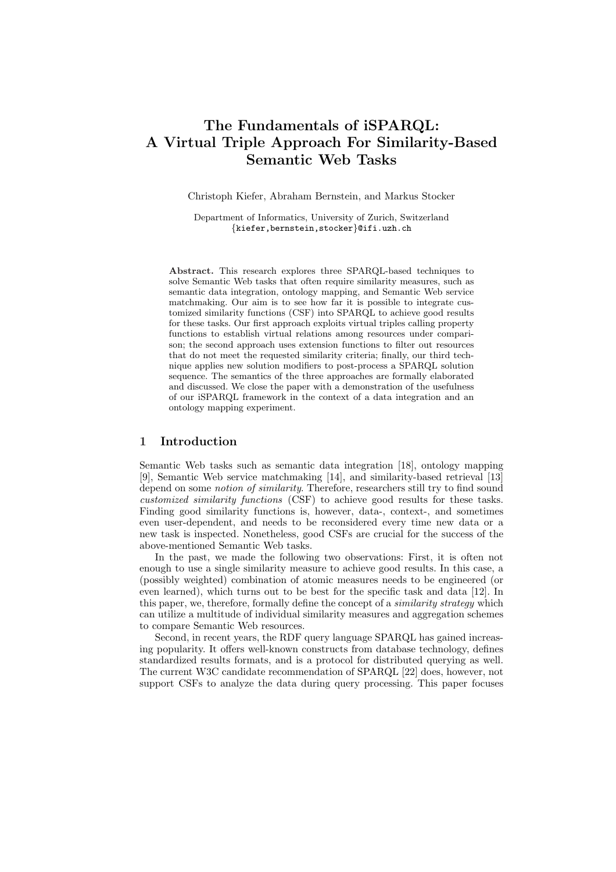# The Fundamentals of iSPARQL: A Virtual Triple Approach For Similarity-Based Semantic Web Tasks

Christoph Kiefer, Abraham Bernstein, and Markus Stocker

Department of Informatics, University of Zurich, Switzerland {kiefer,bernstein,stocker}@ifi.uzh.ch

Abstract. This research explores three SPARQL-based techniques to solve Semantic Web tasks that often require similarity measures, such as semantic data integration, ontology mapping, and Semantic Web service matchmaking. Our aim is to see how far it is possible to integrate customized similarity functions (CSF) into SPARQL to achieve good results for these tasks. Our first approach exploits virtual triples calling property functions to establish virtual relations among resources under comparison; the second approach uses extension functions to filter out resources that do not meet the requested similarity criteria; finally, our third technique applies new solution modifiers to post-process a SPARQL solution sequence. The semantics of the three approaches are formally elaborated and discussed. We close the paper with a demonstration of the usefulness of our iSPARQL framework in the context of a data integration and an ontology mapping experiment.

## 1 Introduction

Semantic Web tasks such as semantic data integration [18], ontology mapping [9], Semantic Web service matchmaking [14], and similarity-based retrieval [13] depend on some notion of similarity. Therefore, researchers still try to find sound customized similarity functions (CSF) to achieve good results for these tasks. Finding good similarity functions is, however, data-, context-, and sometimes even user-dependent, and needs to be reconsidered every time new data or a new task is inspected. Nonetheless, good CSFs are crucial for the success of the above-mentioned Semantic Web tasks.

In the past, we made the following two observations: First, it is often not enough to use a single similarity measure to achieve good results. In this case, a (possibly weighted) combination of atomic measures needs to be engineered (or even learned), which turns out to be best for the specific task and data [12]. In this paper, we, therefore, formally define the concept of a *similarity strategy* which can utilize a multitude of individual similarity measures and aggregation schemes to compare Semantic Web resources.

Second, in recent years, the RDF query language SPARQL has gained increasing popularity. It offers well-known constructs from database technology, defines standardized results formats, and is a protocol for distributed querying as well. The current W3C candidate recommendation of SPARQL [22] does, however, not support CSFs to analyze the data during query processing. This paper focuses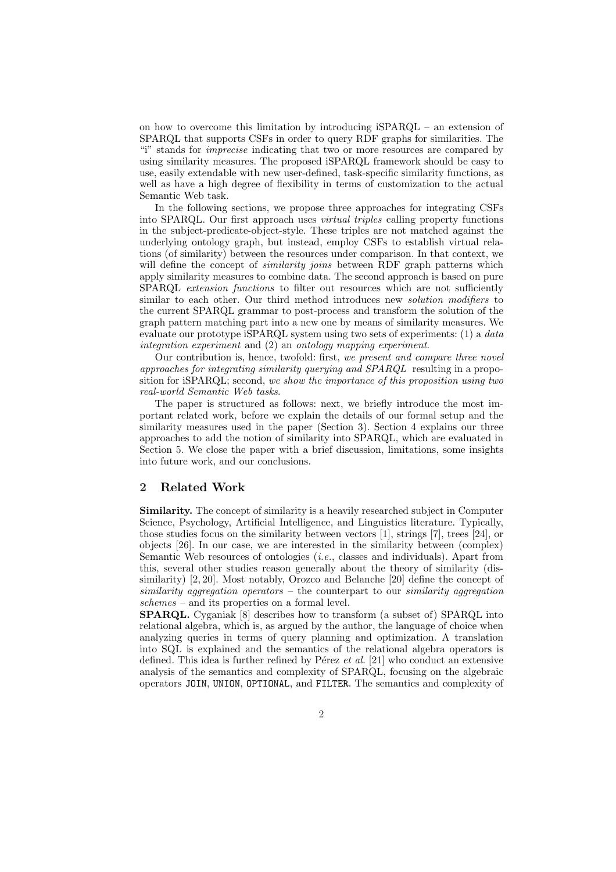on how to overcome this limitation by introducing iSPARQL – an extension of SPARQL that supports CSFs in order to query RDF graphs for similarities. The "i" stands for imprecise indicating that two or more resources are compared by using similarity measures. The proposed iSPARQL framework should be easy to use, easily extendable with new user-defined, task-specific similarity functions, as well as have a high degree of flexibility in terms of customization to the actual Semantic Web task.

In the following sections, we propose three approaches for integrating CSFs into SPARQL. Our first approach uses virtual triples calling property functions in the subject-predicate-object-style. These triples are not matched against the underlying ontology graph, but instead, employ CSFs to establish virtual relations (of similarity) between the resources under comparison. In that context, we will define the concept of *similarity joins* between RDF graph patterns which apply similarity measures to combine data. The second approach is based on pure SPARQL extension functions to filter out resources which are not sufficiently similar to each other. Our third method introduces new *solution modifiers* to the current SPARQL grammar to post-process and transform the solution of the graph pattern matching part into a new one by means of similarity measures. We evaluate our prototype iSPARQL system using two sets of experiments: (1) a data integration experiment and (2) an ontology mapping experiment.

Our contribution is, hence, twofold: first, we present and compare three novel approaches for integrating similarity querying and SPARQL resulting in a proposition for iSPARQL; second, we show the importance of this proposition using two real-world Semantic Web tasks.

The paper is structured as follows: next, we briefly introduce the most important related work, before we explain the details of our formal setup and the similarity measures used in the paper (Section 3). Section 4 explains our three approaches to add the notion of similarity into SPARQL, which are evaluated in Section 5. We close the paper with a brief discussion, limitations, some insights into future work, and our conclusions.

### 2 Related Work

Similarity. The concept of similarity is a heavily researched subject in Computer Science, Psychology, Artificial Intelligence, and Linguistics literature. Typically, those studies focus on the similarity between vectors [1], strings [7], trees [24], or objects [26]. In our case, we are interested in the similarity between (complex) Semantic Web resources of ontologies (i.e., classes and individuals). Apart from this, several other studies reason generally about the theory of similarity (dissimilarity) [2, 20]. Most notably, Orozco and Belanche [20] define the concept of similarity aggregation operators  $-$  the counterpart to our similarity aggregation schemes – and its properties on a formal level.

SPARQL. Cyganiak [8] describes how to transform (a subset of) SPARQL into relational algebra, which is, as argued by the author, the language of choice when analyzing queries in terms of query planning and optimization. A translation into SQL is explained and the semantics of the relational algebra operators is defined. This idea is further refined by Pérez et al.  $[21]$  who conduct an extensive analysis of the semantics and complexity of SPARQL, focusing on the algebraic operators JOIN, UNION, OPTIONAL, and FILTER. The semantics and complexity of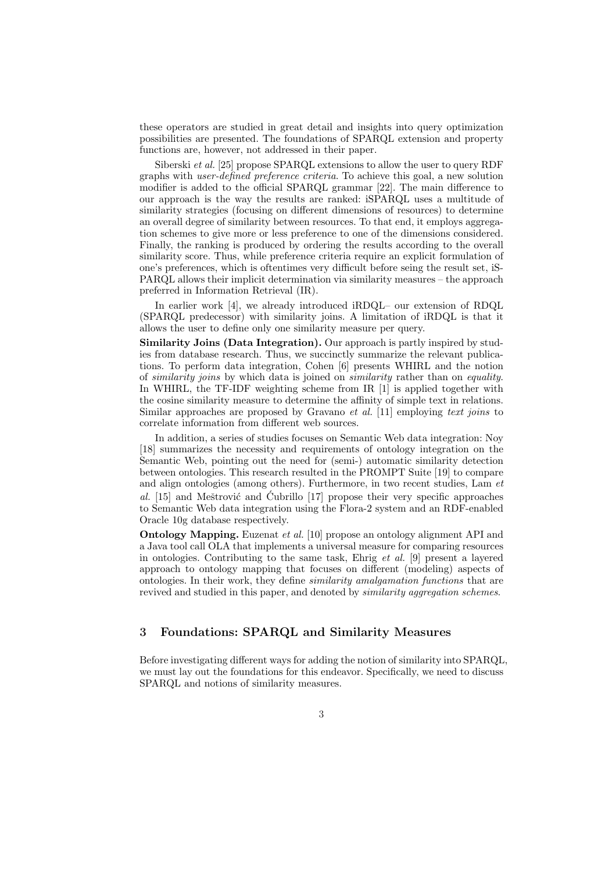these operators are studied in great detail and insights into query optimization possibilities are presented. The foundations of SPARQL extension and property functions are, however, not addressed in their paper.

Siberski et al. [25] propose SPARQL extensions to allow the user to query RDF graphs with user-defined preference criteria. To achieve this goal, a new solution modifier is added to the official SPARQL grammar [22]. The main difference to our approach is the way the results are ranked: iSPARQL uses a multitude of similarity strategies (focusing on different dimensions of resources) to determine an overall degree of similarity between resources. To that end, it employs aggregation schemes to give more or less preference to one of the dimensions considered. Finally, the ranking is produced by ordering the results according to the overall similarity score. Thus, while preference criteria require an explicit formulation of one's preferences, which is oftentimes very difficult before seing the result set, iS-PARQL allows their implicit determination via similarity measures – the approach preferred in Information Retrieval (IR).

In earlier work [4], we already introduced iRDQL– our extension of RDQL (SPARQL predecessor) with similarity joins. A limitation of iRDQL is that it allows the user to define only one similarity measure per query.

Similarity Joins (Data Integration). Our approach is partly inspired by studies from database research. Thus, we succinctly summarize the relevant publications. To perform data integration, Cohen [6] presents WHIRL and the notion of similarity joins by which data is joined on similarity rather than on equality. In WHIRL, the TF-IDF weighting scheme from IR [1] is applied together with the cosine similarity measure to determine the affinity of simple text in relations. Similar approaches are proposed by Gravano *et al.* [11] employing text joins to correlate information from different web sources.

In addition, a series of studies focuses on Semantic Web data integration: Noy [18] summarizes the necessity and requirements of ontology integration on the Semantic Web, pointing out the need for (semi-) automatic similarity detection between ontologies. This research resulted in the PROMPT Suite [19] to compare and align ontologies (among others). Furthermore, in two recent studies, Lam et al.  $[15]$  and Meštrović and Ćubrillo  $[17]$  propose their very specific approaches to Semantic Web data integration using the Flora-2 system and an RDF-enabled Oracle 10g database respectively.

**Ontology Mapping.** Euzenat *et al.* [10] propose an ontology alignment API and a Java tool call OLA that implements a universal measure for comparing resources in ontologies. Contributing to the same task, Ehrig et al. [9] present a layered approach to ontology mapping that focuses on different (modeling) aspects of ontologies. In their work, they define similarity amalgamation functions that are revived and studied in this paper, and denoted by *similarity aggregation schemes*.

## 3 Foundations: SPARQL and Similarity Measures

Before investigating different ways for adding the notion of similarity into SPARQL, we must lay out the foundations for this endeavor. Specifically, we need to discuss SPARQL and notions of similarity measures.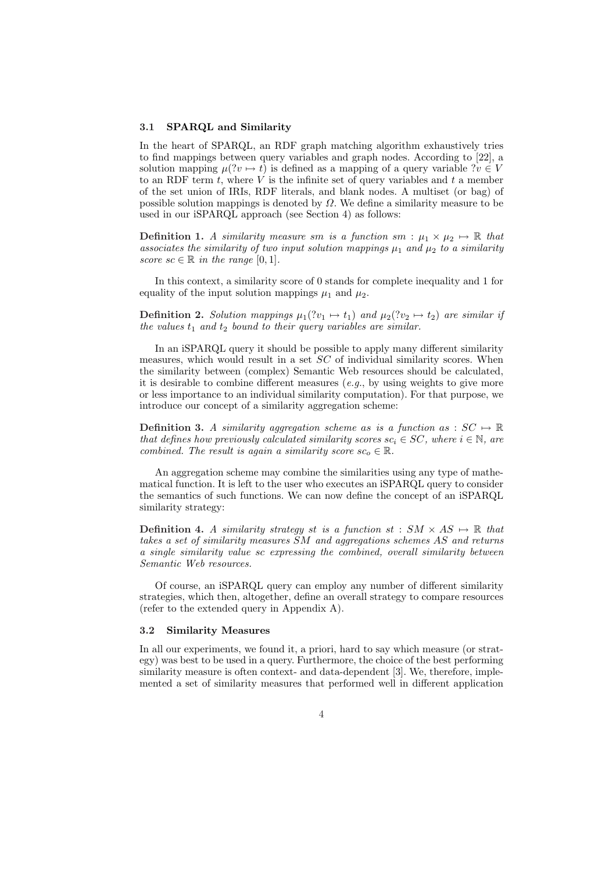#### 3.1 SPARQL and Similarity

In the heart of SPARQL, an RDF graph matching algorithm exhaustively tries to find mappings between query variables and graph nodes. According to [22], a solution mapping  $\mu(?v \mapsto t)$  is defined as a mapping of a query variable  $?v \in V$ to an RDF term t, where  $\dot{V}$  is the infinite set of query variables and t a member of the set union of IRIs, RDF literals, and blank nodes. A multiset (or bag) of possible solution mappings is denoted by  $\Omega$ . We define a similarity measure to be used in our iSPARQL approach (see Section 4) as follows:

**Definition 1.** A similarity measure sm is a function sm :  $\mu_1 \times \mu_2 \mapsto \mathbb{R}$  that associates the similarity of two input solution mappings  $\mu_1$  and  $\mu_2$  to a similarity score  $sc \in \mathbb{R}$  in the range [0, 1].

In this context, a similarity score of 0 stands for complete inequality and 1 for equality of the input solution mappings  $\mu_1$  and  $\mu_2$ .

**Definition 2.** Solution mappings  $\mu_1(?v_1 \mapsto t_1)$  and  $\mu_2(?v_2 \mapsto t_2)$  are similar if the values  $t_1$  and  $t_2$  bound to their query variables are similar.

In an iSPARQL query it should be possible to apply many different similarity measures, which would result in a set  $SC$  of individual similarity scores. When the similarity between (complex) Semantic Web resources should be calculated, it is desirable to combine different measures (e.g., by using weights to give more or less importance to an individual similarity computation). For that purpose, we introduce our concept of a similarity aggregation scheme:

**Definition 3.** A similarity aggregation scheme as is a function as :  $SC \rightarrow \mathbb{R}$ that defines how previously calculated similarity scores  $sc_i \in SC$ , where  $i \in \mathbb{N}$ , are combined. The result is again a similarity score  $sc_{\alpha} \in \mathbb{R}$ .

An aggregation scheme may combine the similarities using any type of mathematical function. It is left to the user who executes an iSPARQL query to consider the semantics of such functions. We can now define the concept of an iSPARQL similarity strategy:

**Definition 4.** A similarity strategy st is a function st :  $SM \times AS \rightarrow \mathbb{R}$  that takes a set of similarity measures SM and aggregations schemes AS and returns a single similarity value sc expressing the combined, overall similarity between Semantic Web resources.

Of course, an iSPARQL query can employ any number of different similarity strategies, which then, altogether, define an overall strategy to compare resources (refer to the extended query in Appendix A).

#### 3.2 Similarity Measures

In all our experiments, we found it, a priori, hard to say which measure (or strategy) was best to be used in a query. Furthermore, the choice of the best performing similarity measure is often context- and data-dependent [3]. We, therefore, implemented a set of similarity measures that performed well in different application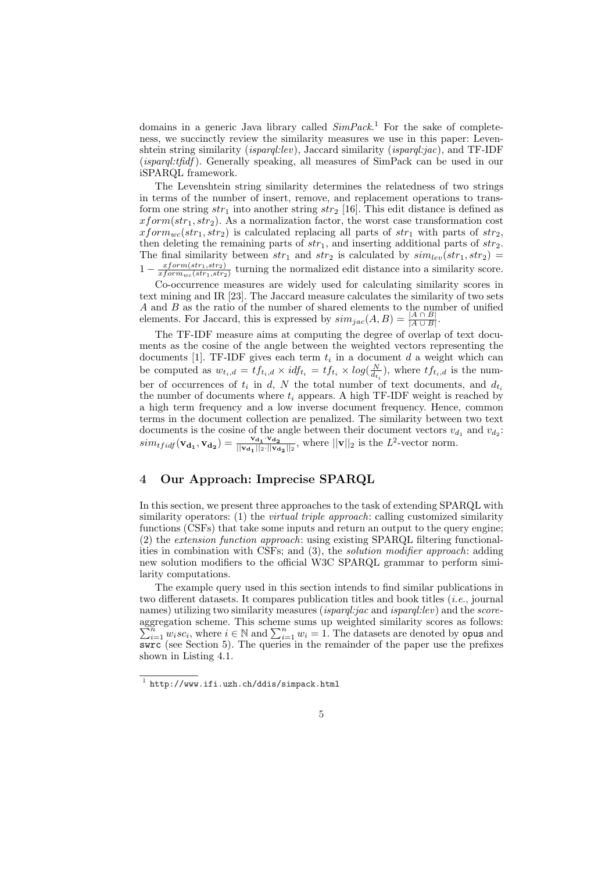domains in a generic Java library called  $SimPack<sup>1</sup>$  For the sake of completeness, we succinctly review the similarity measures we use in this paper: Levenshtein string similarity *(isparql:lev)*, Jaccard similarity *(isparql:jac)*, and TF-IDF (isparql:tfidf ). Generally speaking, all measures of SimPack can be used in our iSPARQL framework.

The Levenshtein string similarity determines the relatedness of two strings in terms of the number of insert, remove, and replacement operations to transform one string  $str_1$  into another string  $str_2$  [16]. This edit distance is defined as  $xform(str_1, str_2)$ . As a normalization factor, the worst case transformation cost  $xform_{wc}(str_1, str_2)$  is calculated replacing all parts of  $str_1$  with parts of  $str_2$ , then deleting the remaining parts of  $str_1$ , and inserting additional parts of  $str_2$ . The final similarity between  $str_1$  and  $str_2$  is calculated by  $sim_{lev}(str_1, str_2)$  =  $1 - \frac{xform(str_1, str_2)}{xform(fstr_1, str_2)}$  $\frac{xform(str_1, str_2)}{xform(wclstr_1, str_2)}$  turning the normalized edit distance into a similarity score.

Co-occurrence measures are widely used for calculating similarity scores in text mining and IR [23]. The Jaccard measure calculates the similarity of two sets A and B as the ratio of the number of shared elements to the number of unified elements. For Jaccard, this is expressed by  $\text{sim}_{jac}(A, B) = \frac{|A \cap B|}{|A \cup B|}$ .

The TF-IDF measure aims at computing the degree of overlap of text documents as the cosine of the angle between the weighted vectors representing the documents [1]. TF-IDF gives each term  $t_i$  in a document d a weight which can be computed as  $w_{t_i,d} = tf_{t_i,d} \times idf_{t_i} = tf_{t_i} \times log(\frac{N}{d_{t_i}})$ , where  $tf_{t_i,d}$  is the number of occurrences of  $t_i$  in d, N the total number of text documents, and  $d_{t_i}$ the number of documents where  $t_i$  appears. A high TF-IDF weight is reached by a high term frequency and a low inverse document frequency. Hence, common terms in the document collection are penalized. The similarity between two text documents is the cosine of the angle between their document vectors  $v_{d_1}$  and  $v_{d_2}$ :  $\textit{sim}_{tfidf}(\mathbf{v_{d_1}}, \mathbf{v_{d_2}}) = \frac{\mathbf{v_{d_1}} \cdot \mathbf{v_{d_2}}}{\|\mathbf{v_{d_1}}\|_2 \cdot \|\mathbf{v_{d_2}}\|_2}$  $\frac{{\bf v_d}_1 \cdot {\bf v_d}_2}{\|{\bf v_d}_1\|_2 \cdot \|{\bf v_d}_2\|_2}$ , where  $\|{\bf v}\|_2$  is the  $L^2$ -vector norm.

## 4 Our Approach: Imprecise SPARQL

In this section, we present three approaches to the task of extending SPARQL with similarity operators: (1) the *virtual triple approach*: calling customized similarity functions (CSFs) that take some inputs and return an output to the query engine; (2) the extension function approach: using existing SPARQL filtering functionalities in combination with CSFs; and (3), the solution modifier approach: adding new solution modifiers to the official W3C SPARQL grammar to perform similarity computations.

The example query used in this section intends to find similar publications in two different datasets. It compares publication titles and book titles (i.e., journal names) utilizing two similarity measures *(isparql:jac* and *isparql:lev)* and the *score*aggregation scheme. This scheme sums up weighted similarity scores as follows:<br> $\sum_{i=1}^{n} w_i s c_i$ , where  $i \in \mathbb{N}$  and  $\sum_{i=1}^{n} w_i = 1$ . The datasets are denoted by **opus** and  $\overline{\mathbf{s}}$ wrc (see Section 5). The queries in the remainder of the paper use the prefixes shown in Listing 4.1.

 $1$  http://www.ifi.uzh.ch/ddis/simpack.html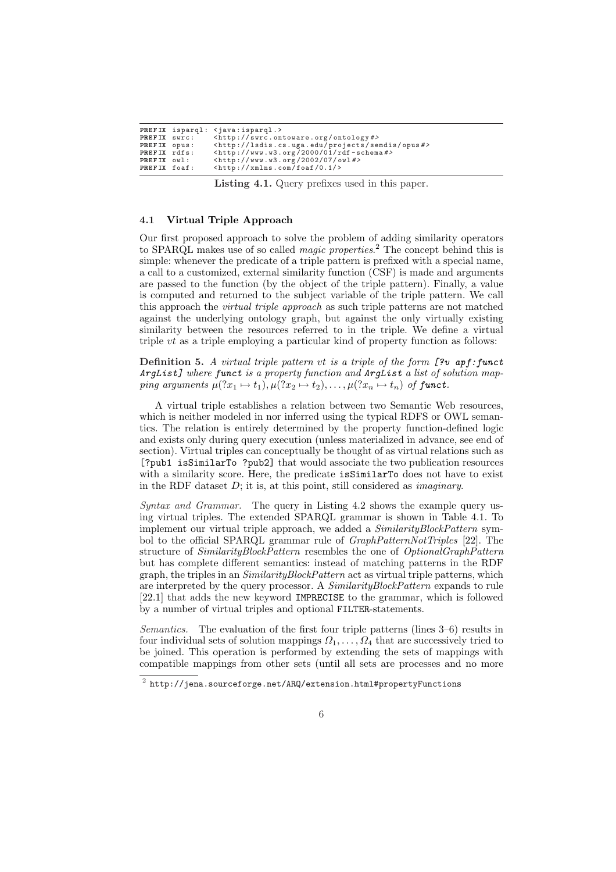|              | PREFIX isparql: <java:isparql.></java:isparql.>                            |
|--------------|----------------------------------------------------------------------------|
| PREFIX swrc: | $\frac{1}{2}$ <http: ontology#="" swrc.ontoware.org=""></http:>            |
| PREFIX opus: | <http: lsdis.cs.uga.edu="" opus#="" projects="" semdis=""></http:>         |
| PREFIX rdfs: | $\frac{2}{\pi}$ <http: 01="" 2000="" rdf-schema#="" www.w3.org=""></http:> |
| PREFIX owl:  | $\frac{1}{2}$ <http: 07="" 2002="" owl#="" www.w3.org=""></http:>          |
| PREFIX foaf: | $\frac{\text{tht}}{\text{t}}$ //xmlns.com/foaf/0.1/>                       |

Listing 4.1. Query prefixes used in this paper.

#### 4.1 Virtual Triple Approach

Our first proposed approach to solve the problem of adding similarity operators to SPARQL makes use of so called *magic properties*.<sup>2</sup> The concept behind this is simple: whenever the predicate of a triple pattern is prefixed with a special name, a call to a customized, external similarity function (CSF) is made and arguments are passed to the function (by the object of the triple pattern). Finally, a value is computed and returned to the subject variable of the triple pattern. We call this approach the virtual triple approach as such triple patterns are not matched against the underlying ontology graph, but against the only virtually existing similarity between the resources referred to in the triple. We define a virtual triple vt as a triple employing a particular kind of property function as follows:

**Definition 5.** A virtual triple pattern vt is a triple of the form  $[?v$  apf: funct ArgList] where funct is a property function and ArgList a list of solution mapping arguments  $\mu$  $(x_1 \mapsto t_1), \mu$  $(x_2 \mapsto t_2), \ldots, \mu$  $(x_n \mapsto t_n)$  of funct.

A virtual triple establishes a relation between two Semantic Web resources, which is neither modeled in nor inferred using the typical RDFS or OWL semantics. The relation is entirely determined by the property function-defined logic and exists only during query execution (unless materialized in advance, see end of section). Virtual triples can conceptually be thought of as virtual relations such as [?pub1 isSimilarTo ?pub2] that would associate the two publication resources with a similarity score. Here, the predicate is SimilarTo does not have to exist in the RDF dataset  $D$ ; it is, at this point, still considered as *imaginary*.

Syntax and Grammar. The query in Listing 4.2 shows the example query using virtual triples. The extended SPARQL grammar is shown in Table 4.1. To implement our virtual triple approach, we added a *SimilarityBlockPattern* symbol to the official SPARQL grammar rule of  $GraphPatternNot Triplies$  [22]. The structure of SimilarityBlockPattern resembles the one of OptionalGraphPattern but has complete different semantics: instead of matching patterns in the RDF graph, the triples in an *SimilarityBlockPattern* act as virtual triple patterns, which are interpreted by the query processor. A SimilarityBlockPattern expands to rule [22.1] that adds the new keyword IMPRECISE to the grammar, which is followed by a number of virtual triples and optional FILTER-statements.

Semantics. The evaluation of the first four triple patterns (lines 3–6) results in four individual sets of solution mappings  $\Omega_1, \ldots, \Omega_4$  that are successively tried to be joined. This operation is performed by extending the sets of mappings with compatible mappings from other sets (until all sets are processes and no more

 $^2$  http://jena.sourceforge.net/ARQ/extension.html#propertyFunctions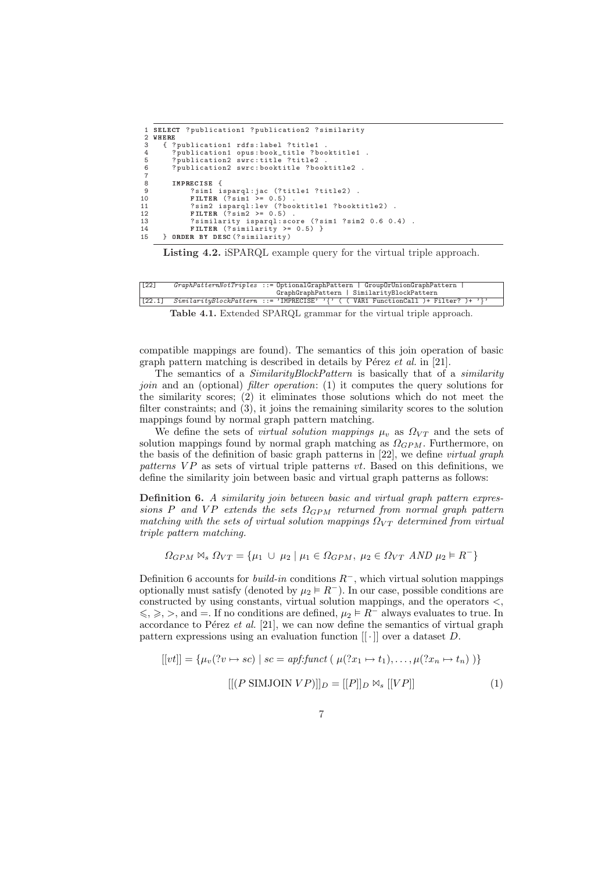```
1 SELECT ? publication1 ? publication2 ? similarity
 2 WHERE<br>3 { ?
 3 { ? publication1 rdfs: label ? title1<br>4 ? publication1 opus: book_title ? bo<br>5 ? publication2 swrc: title ? title2
  4 ? publication1 opus : book_title ? booktitle1 .
5 ? publication2 swrc : title ? title2 .
             ? publication2 swrc: booktitle ? booktitle2 .
 \begin{array}{c} 6 \\ 7 \\ 8 \end{array}8 IMPRECISE {<br>9 ?sim1 i
9 ? sim1 isparql : jac (? title1 ? title2 ) .
10 FILTER (? sim1 >= 0.5) .
11 ? sim2 isparql : lev (? booktitle1 ? booktitle2 ) .
12 FILTER (? sim2 >= 0.5) .
13 12 12 12 12 12 12 12 12 12 12 12 13<br>13 7 similarity isparql:score (?sim1 ?sim2 0.6 0.4).
14 FILTER (? similarity >= 0.5) }
15 } ORDER BY DESC (? similarity )
```
Listing 4.2. iSPARQL example query for the virtual triple approach.

| $\sqrt{22}$ |                                            | $GraphPatternNot Triplies ::= \text{OptionalGraphPattern}$   $GroupOrUnionGraphPattern$ |  |  |  |
|-------------|--------------------------------------------|-----------------------------------------------------------------------------------------|--|--|--|
|             | GraphGraphPattern   SimilarityBlockPattern |                                                                                         |  |  |  |
| [22.1]      |                                            | $Similarly BlockPattern ::= 'IMPRECISE' ' {\{ ( VARI FunctionCall ) + Filter? \} } '$   |  |  |  |

Table 4.1. Extended SPARQL grammar for the virtual triple approach.

compatible mappings are found). The semantics of this join operation of basic graph pattern matching is described in details by Pérez  $et \ al.$  in [21].

The semantics of a *SimilarityBlockPattern* is basically that of a *similarity* join and an (optional) filter operation: (1) it computes the query solutions for the similarity scores; (2) it eliminates those solutions which do not meet the filter constraints; and (3), it joins the remaining similarity scores to the solution mappings found by normal graph pattern matching.

We define the sets of *virtual solution mappings*  $\mu_v$  as  $\Omega_{VT}$  and the sets of solution mappings found by normal graph matching as  $\Omega_{GPM}$ . Furthermore, on the basis of the definition of basic graph patterns in [22], we define virtual graph patterns  $VP$  as sets of virtual triple patterns vt. Based on this definitions, we define the similarity join between basic and virtual graph patterns as follows:

Definition 6. A similarity join between basic and virtual graph pattern expressions P and VP extends the sets  $\Omega_{GPM}$  returned from normal graph pattern matching with the sets of virtual solution mappings  $\Omega_{VT}$  determined from virtual triple pattern matching.

 $\Omega_{GPM} \bowtie_s \Omega_{VT} = {\mu_1 \cup \mu_2 \mid \mu_1 \in \Omega_{GPM}, \ \mu_2 \in \Omega_{VT} \ AND \ \mu_2 \models R^{-} }$ 

Definition 6 accounts for *build-in* conditions  $R^-$ , which virtual solution mappings optionally must satisfy (denoted by  $\mu_2 \models R^-$ ). In our case, possible conditions are constructed by using constants, virtual solution mappings, and the operators <,  $\leqslant$ ,  $\geqslant$ ,  $\geq$ , and  $=$ . If no conditions are defined,  $\mu_2 \vDash R^-$  always evaluates to true. In accordance to Pérez et al.  $[21]$ , we can now define the semantics of virtual graph pattern expressions using an evaluation function  $\lbrack \lbrack \cdot \rbrack \rbrack$  over a dataset D.

$$
[[vt]] = \{\mu_v(?v \mapsto sc) \mid sc = \mathit{apf}:\mathit{funct} \left( \mu(?x_1 \mapsto t_1), \dots, \mu(?x_n \mapsto t_n) \right)\}
$$

$$
[[(P \text{SIMJOIN } VP)]]_D = [[P]]_D \bowtie_s [[VP]] \tag{1}
$$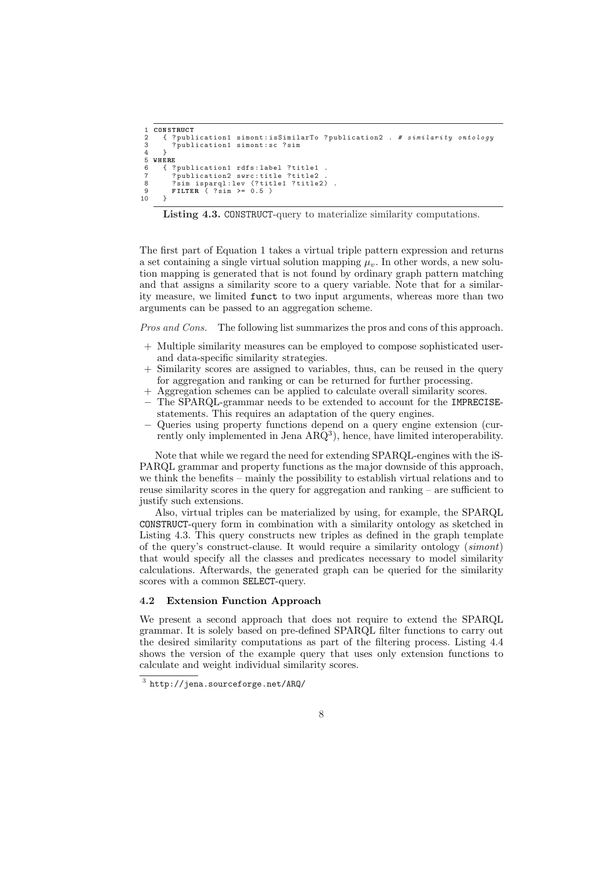```
1 CONSTRUCT<br>2 { ? publ
 2 { ? publication1 simont: isSimilarTo ? publication2 . # similarity ontology<br>3 ? publication1 simont: sc ? sim
           ? publication1 simont: sc ? sim
 \frac{4}{5}5 WHERE<br>6 { ?<br>7 ?
           ? publication1 rdfs: label ? title1
 7 ? publication2 swrc : title ? title2 .
8 ? sim isparql : lev (? title1 ? title2 ) .
 9 FILTER ( ?sim >= 0.5 )<br>10 }
10 }
```


The first part of Equation 1 takes a virtual triple pattern expression and returns a set containing a single virtual solution mapping  $\mu_v$ . In other words, a new solution mapping is generated that is not found by ordinary graph pattern matching and that assigns a similarity score to a query variable. Note that for a similarity measure, we limited funct to two input arguments, whereas more than two arguments can be passed to an aggregation scheme.

Pros and Cons. The following list summarizes the pros and cons of this approach.

- + Multiple similarity measures can be employed to compose sophisticated userand data-specific similarity strategies.
- + Similarity scores are assigned to variables, thus, can be reused in the query for aggregation and ranking or can be returned for further processing.
- + Aggregation schemes can be applied to calculate overall similarity scores.
- The SPARQL-grammar needs to be extended to account for the IMPRECISEstatements. This requires an adaptation of the query engines.
- − Queries using property functions depend on a query engine extension (currently only implemented in Jena  $ARQ<sup>3</sup>$ , hence, have limited interoperability.

Note that while we regard the need for extending SPARQL-engines with the iS-PARQL grammar and property functions as the major downside of this approach, we think the benefits – mainly the possibility to establish virtual relations and to reuse similarity scores in the query for aggregation and ranking – are sufficient to justify such extensions.

Also, virtual triples can be materialized by using, for example, the SPARQL CONSTRUCT-query form in combination with a similarity ontology as sketched in Listing 4.3. This query constructs new triples as defined in the graph template of the query's construct-clause. It would require a similarity ontology (simont) that would specify all the classes and predicates necessary to model similarity calculations. Afterwards, the generated graph can be queried for the similarity scores with a common SELECT-query.

## 4.2 Extension Function Approach

We present a second approach that does not require to extend the SPARQL grammar. It is solely based on pre-defined SPARQL filter functions to carry out the desired similarity computations as part of the filtering process. Listing 4.4 shows the version of the example query that uses only extension functions to calculate and weight individual similarity scores.

 $3$  http://jena.sourceforge.net/ARQ/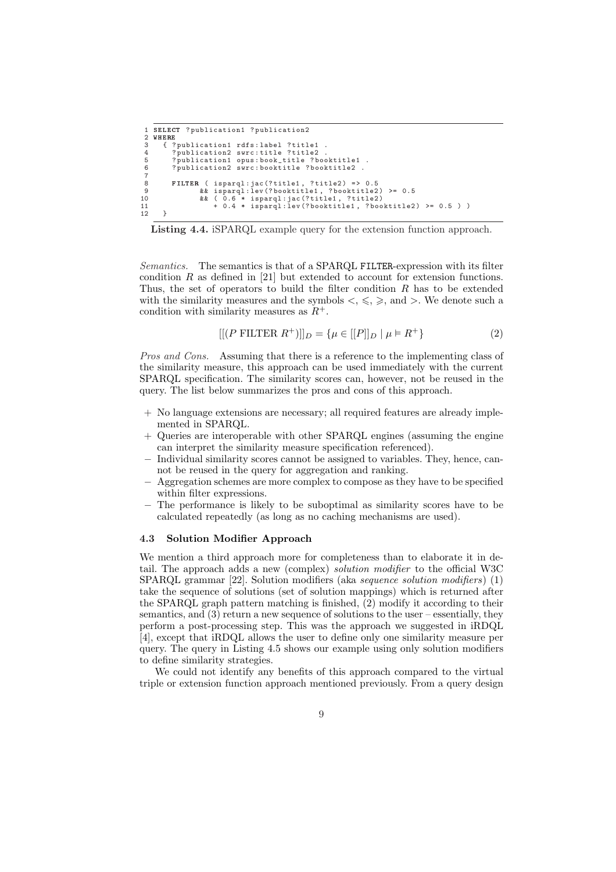```
1 SELECT ? publication1 ? publication2
 2 WHERE<br>3 { ?
 3 { ? publication1 rdfs: label ? title1<br>4 ? publication2 swrc: title ? title2<br>5 ? publication1 opus: book_title ? bo
  4 ? publication2 swrc : title ? title2 .
5 ? publication1 opus : book_title ? booktitle1 .
              ? publication2 swrc: booktitle ? booktitle2
 \begin{array}{c} 6 \\ 7 \\ 8 \end{array}8 FILTER ( isparql:jac(?title1, ?title2) => 0.5<br>9 & & isparql:lev(?booktitle1, ?booktitle2
9 & isparql:lev (?booktitle1, ?booktitle2) >= 0.5<br>10 & & (0.6 * isparql:jac (?title1, ?title2)<br>11 + 0.4 * isparql:lev (?booktitle1, ?booktitle2) >= 0.5 ) )
\frac{11}{12}
```
Listing 4.4. iSPARQL example query for the extension function approach.

Semantics. The semantics is that of a SPARQL FILTER-expression with its filter condition  $R$  as defined in [21] but extended to account for extension functions. Thus, the set of operators to build the filter condition  $R$  has to be extended with the similarity measures and the symbols  $\langle , \xi, \xi \rangle$ , and  $\rangle$ . We denote such a condition with similarity measures as  $R^+$ .

$$
[[(P \text{ FILTER } R^+)]]_D = \{ \mu \in [[P]]_D \mid \mu \models R^+ \}
$$
 (2)

Pros and Cons. Assuming that there is a reference to the implementing class of the similarity measure, this approach can be used immediately with the current SPARQL specification. The similarity scores can, however, not be reused in the query. The list below summarizes the pros and cons of this approach.

- + No language extensions are necessary; all required features are already implemented in SPARQL.
- Queries are interoperable with other SPARQL engines (assuming the engine can interpret the similarity measure specification referenced).
- Individual similarity scores cannot be assigned to variables. They, hence, cannot be reused in the query for aggregation and ranking.
- − Aggregation schemes are more complex to compose as they have to be specified within filter expressions.
- The performance is likely to be suboptimal as similarity scores have to be calculated repeatedly (as long as no caching mechanisms are used).

#### 4.3 Solution Modifier Approach

We mention a third approach more for completeness than to elaborate it in detail. The approach adds a new (complex) solution modifier to the official W3C SPARQL grammar [22]. Solution modifiers (aka sequence solution modifiers) (1) take the sequence of solutions (set of solution mappings) which is returned after the SPARQL graph pattern matching is finished, (2) modify it according to their semantics, and (3) return a new sequence of solutions to the user – essentially, they perform a post-processing step. This was the approach we suggested in iRDQL [4], except that iRDQL allows the user to define only one similarity measure per query. The query in Listing 4.5 shows our example using only solution modifiers to define similarity strategies.

We could not identify any benefits of this approach compared to the virtual triple or extension function approach mentioned previously. From a query design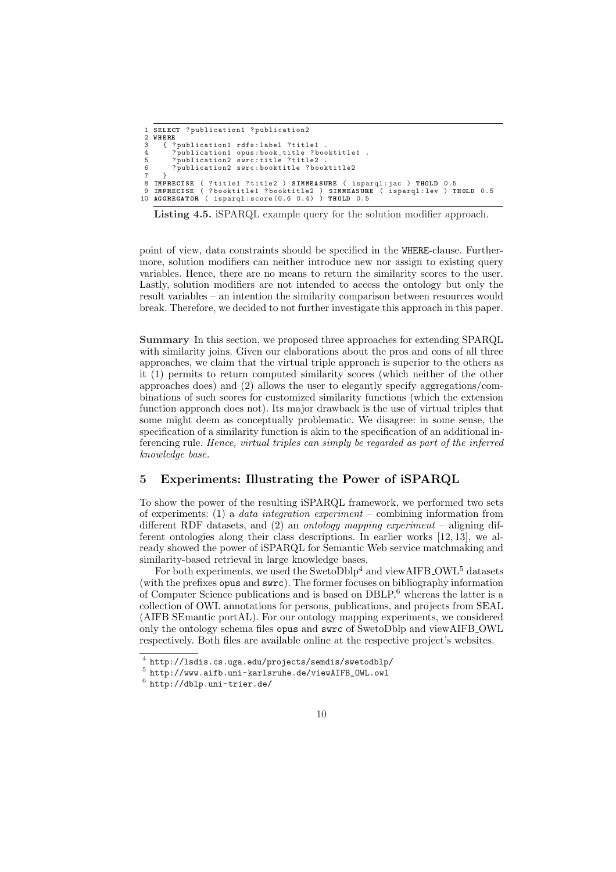```
1 SELECT ? publication1 ? publication2
2 WHERE<br>3 { ?
3 { ? publication1 rdfs: label ? title1<br>4 ? publication1 opus: book_title ? bo<br>5 ? publication2 swrc: title ? title2
 4 ? publication1 opus : book_title ? booktitle1 .
5 ? publication2 swrc : title ? title2 .
6 ? publication2 swrc : booktitle ? booktitle2
7 }<br>8 IMP
    IMPRECISE ( ?title1 ?title2 ) SIMMEASURE ( isparql:jac ) THOLD 0.5<br>IMPRECISE ( ?booktitle1 ?booktitle2 ) SIMMEASURE ( isparql:lev ) THOLD 0.5
9 IMPRECISE ( ? booktitle1 ? booktitle2 ) SIMMEASURE ( isparql : lev ) THOLD 0.5
10 AGGREGATOR ( isparql : score (0.6 0.4) ) THOLD 0.5
```
Listing 4.5. iSPARQL example query for the solution modifier approach.

point of view, data constraints should be specified in the WHERE-clause. Furthermore, solution modifiers can neither introduce new nor assign to existing query variables. Hence, there are no means to return the similarity scores to the user. Lastly, solution modifiers are not intended to access the ontology but only the result variables – an intention the similarity comparison between resources would break. Therefore, we decided to not further investigate this approach in this paper.

Summary In this section, we proposed three approaches for extending SPARQL with similarity joins. Given our elaborations about the pros and cons of all three approaches, we claim that the virtual triple approach is superior to the others as it (1) permits to return computed similarity scores (which neither of the other approaches does) and (2) allows the user to elegantly specify aggregations/combinations of such scores for customized similarity functions (which the extension function approach does not). Its major drawback is the use of virtual triples that some might deem as conceptually problematic. We disagree: in some sense, the specification of a similarity function is akin to the specification of an additional inferencing rule. Hence, virtual triples can simply be regarded as part of the inferred knowledge base.

## 5 Experiments: Illustrating the Power of iSPARQL

To show the power of the resulting iSPARQL framework, we performed two sets of experiments: (1) a data integration experiment – combining information from different RDF datasets, and  $(2)$  an *ontology mapping experiment* – aligning different ontologies along their class descriptions. In earlier works [12, 13], we already showed the power of iSPARQL for Semantic Web service matchmaking and similarity-based retrieval in large knowledge bases.

For both experiments, we used the SwetoDblp<sup>4</sup> and viewAIFB\_OWL<sup>5</sup> datasets (with the prefixes opus and swrc). The former focuses on bibliography information of Computer Science publications and is based on  $DBLP<sup>6</sup>$ , whereas the latter is a collection of OWL annotations for persons, publications, and projects from SEAL (AIFB SEmantic portAL). For our ontology mapping experiments, we considered only the ontology schema files opus and swrc of SwetoDblp and viewAIFB OWL respectively. Both files are available online at the respective project's websites.

<sup>4</sup> http://lsdis.cs.uga.edu/projects/semdis/swetodblp/

<sup>5</sup> http://www.aifb.uni-karlsruhe.de/viewAIFB\_OWL.owl

 $6$  http://dblp.uni-trier.de/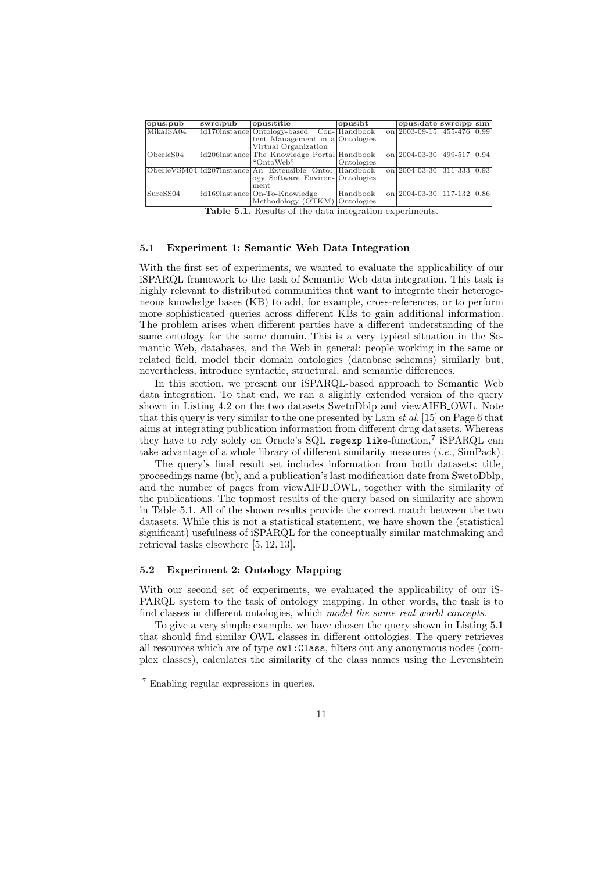| opus:pub    | swrc:pub | opus:title                                             | opus: bt   | opus:date swrc:pp sim                                     |  |
|-------------|----------|--------------------------------------------------------|------------|-----------------------------------------------------------|--|
| MikaISA04   |          | id170instance Ontology-based Con-Handbook              |            | on $\sqrt{2003-09-15}$ 455-476 0.99                       |  |
|             |          | tent Management in a Ontologies                        |            |                                                           |  |
|             |          | Virtual Organization                                   |            |                                                           |  |
| [OberleS04] |          | id206instance The Knowledge Portal Handbook            |            | on 2004-03-30   499-517   0.94                            |  |
|             |          | "OntoWeb"                                              | Ontologies |                                                           |  |
|             |          | OberleVSM04 id207instance An Extensible Ontol-Handbook |            | on $\left  \frac{2004 - 03 - 30}{311 - 333} \right  0.93$ |  |
|             |          | ogy Software Environ-Ontologies                        |            |                                                           |  |
|             |          | ment                                                   |            |                                                           |  |
| SureSS04    |          | id169instance On-To-Knowledge                          | Handbook   | on 2004-03-30   117-132   0.86                            |  |
|             |          | Methodology (OTKM) Ontologies                          |            |                                                           |  |

Table 5.1. Results of the data integration experiments.

#### 5.1 Experiment 1: Semantic Web Data Integration

With the first set of experiments, we wanted to evaluate the applicability of our iSPARQL framework to the task of Semantic Web data integration. This task is highly relevant to distributed communities that want to integrate their heterogeneous knowledge bases (KB) to add, for example, cross-references, or to perform more sophisticated queries across different KBs to gain additional information. The problem arises when different parties have a different understanding of the same ontology for the same domain. This is a very typical situation in the Semantic Web, databases, and the Web in general: people working in the same or related field, model their domain ontologies (database schemas) similarly but, nevertheless, introduce syntactic, structural, and semantic differences.

In this section, we present our iSPARQL-based approach to Semantic Web data integration. To that end, we ran a slightly extended version of the query shown in Listing 4.2 on the two datasets SwetoDblp and viewAIFB OWL. Note that this query is very similar to the one presented by Lam *et al.* [15] on Page 6 that aims at integrating publication information from different drug datasets. Whereas they have to rely solely on Oracle's SQL regexp\_like-function,<sup>7</sup> iSPARQL can take advantage of a whole library of different similarity measures  $(i.e., SimPack)$ .

The query's final result set includes information from both datasets: title, proceedings name (bt), and a publication's last modification date from SwetoDblp, and the number of pages from viewAIFB OWL, together with the similarity of the publications. The topmost results of the query based on similarity are shown in Table 5.1. All of the shown results provide the correct match between the two datasets. While this is not a statistical statement, we have shown the (statistical significant) usefulness of iSPARQL for the conceptually similar matchmaking and retrieval tasks elsewhere [5, 12, 13].

#### 5.2 Experiment 2: Ontology Mapping

With our second set of experiments, we evaluated the applicability of our iS-PARQL system to the task of ontology mapping. In other words, the task is to find classes in different ontologies, which model the same real world concepts.

To give a very simple example, we have chosen the query shown in Listing 5.1 that should find similar OWL classes in different ontologies. The query retrieves all resources which are of type owl:Class, filters out any anonymous nodes (complex classes), calculates the similarity of the class names using the Levenshtein

<sup>7</sup> Enabling regular expressions in queries.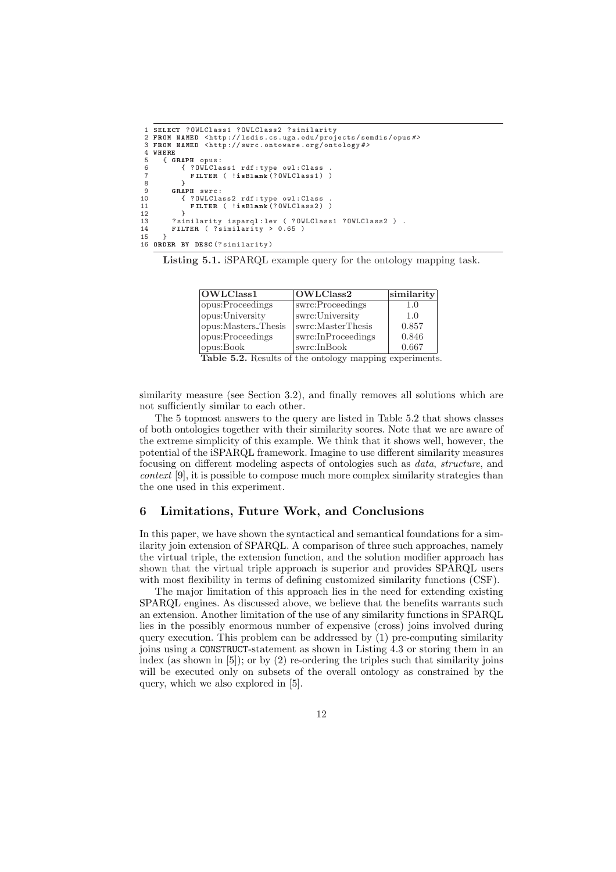```
1 SELECT ? OWLClass1 ? OWLClass2 ? similarity
2 FROM NAMED < http :// lsdis . cs . uga . edu / projects / semdis / opus # >
 3 FROM NAMED <http://swrc.ontoware.org/ontology#><br>4 WHERE<br>5 { GRAPH opus:
     WHERE
 5 { GRAPH opus:<br>6 { ? OWLCla
  6 { ? OWLClass1 rdf : type owl : Class .
7 FILTER ( !isBlank (? OWLClass1 ) )
  8 }
9 GRAPH swrc:<br>10 { ? OWLC1a
10 { ? OWLClass2 rdf : type owl : Class .
11 FILTER ( !isBlank (? OWLClass2 ) )
\begin{array}{ccc} 11 & & & \\ 12 & & & \\ 13 & & & ? \, \text{s} \, \text{i} \end{array}13 ? similarity isparql:lev ( ? OWLClass1 ? OWLClass2 ) .<br>14 FILTER ( ? similarity > 0.65 )
            FILTER ( ?similarity > 0.65 )
15 }
16 ORDER BY DESC (? similarity )
```
Listing 5.1. iSPARQL example query for the ontology mapping task.

| OWLClass1           | OWLClass2          | $ \text{similarity} $ |
|---------------------|--------------------|-----------------------|
| opus:Proceedings    | swrc:Proceedings   | $1.0\,$               |
| opus: University    | swrc:University    | 1.0                   |
| opus:Masters_Thesis | swrc:MasterThesis  | 0.857                 |
| opus:Proceedings    | swrc:InProceedings | 0.846                 |
| opus:Book           | swrc:InBook        | 0.667                 |

Table 5.2. Results of the ontology mapping experiments.

similarity measure (see Section 3.2), and finally removes all solutions which are not sufficiently similar to each other.

The 5 topmost answers to the query are listed in Table 5.2 that shows classes of both ontologies together with their similarity scores. Note that we are aware of the extreme simplicity of this example. We think that it shows well, however, the potential of the iSPARQL framework. Imagine to use different similarity measures focusing on different modeling aspects of ontologies such as data, structure, and context [9], it is possible to compose much more complex similarity strategies than the one used in this experiment.

## 6 Limitations, Future Work, and Conclusions

In this paper, we have shown the syntactical and semantical foundations for a similarity join extension of SPARQL. A comparison of three such approaches, namely the virtual triple, the extension function, and the solution modifier approach has shown that the virtual triple approach is superior and provides SPARQL users with most flexibility in terms of defining customized similarity functions (CSF).

The major limitation of this approach lies in the need for extending existing SPARQL engines. As discussed above, we believe that the benefits warrants such an extension. Another limitation of the use of any similarity functions in SPARQL lies in the possibly enormous number of expensive (cross) joins involved during query execution. This problem can be addressed by (1) pre-computing similarity joins using a CONSTRUCT-statement as shown in Listing 4.3 or storing them in an index (as shown in [5]); or by (2) re-ordering the triples such that similarity joins will be executed only on subsets of the overall ontology as constrained by the query, which we also explored in [5].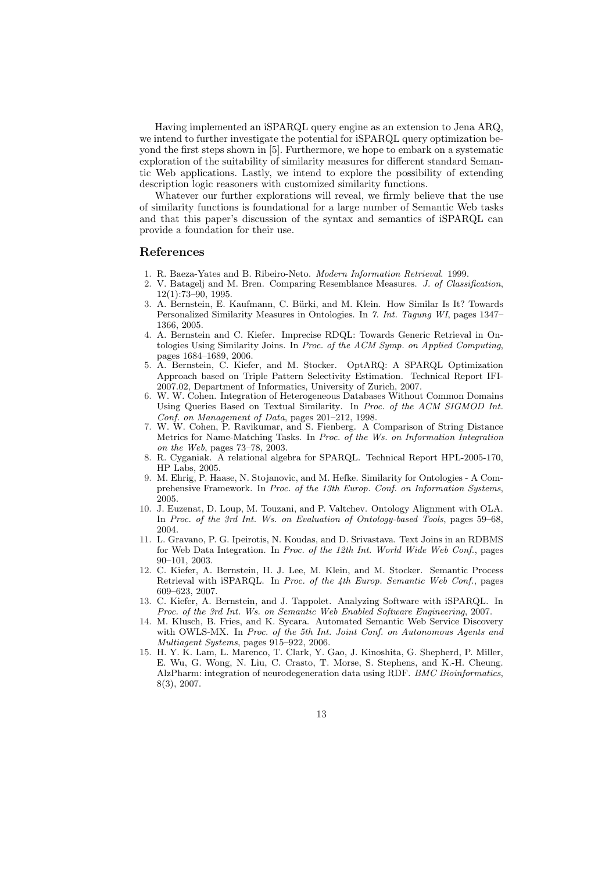Having implemented an iSPARQL query engine as an extension to Jena ARQ, we intend to further investigate the potential for iSPARQL query optimization beyond the first steps shown in [5]. Furthermore, we hope to embark on a systematic exploration of the suitability of similarity measures for different standard Semantic Web applications. Lastly, we intend to explore the possibility of extending description logic reasoners with customized similarity functions.

Whatever our further explorations will reveal, we firmly believe that the use of similarity functions is foundational for a large number of Semantic Web tasks and that this paper's discussion of the syntax and semantics of iSPARQL can provide a foundation for their use.

#### References

- 1. R. Baeza-Yates and B. Ribeiro-Neto. Modern Information Retrieval. 1999.
- 2. V. Batagelj and M. Bren. Comparing Resemblance Measures. J. of Classification,  $12(1) \cdot 73 - 90$  1995
- 3. A. Bernstein, E. Kaufmann, C. Bürki, and M. Klein. How Similar Is It? Towards Personalized Similarity Measures in Ontologies. In 7. Int. Tagung WI, pages 1347– 1366, 2005.
- 4. A. Bernstein and C. Kiefer. Imprecise RDQL: Towards Generic Retrieval in Ontologies Using Similarity Joins. In Proc. of the ACM Symp. on Applied Computing, pages 1684–1689, 2006.
- 5. A. Bernstein, C. Kiefer, and M. Stocker. OptARQ: A SPARQL Optimization Approach based on Triple Pattern Selectivity Estimation. Technical Report IFI-2007.02, Department of Informatics, University of Zurich, 2007.
- 6. W. W. Cohen. Integration of Heterogeneous Databases Without Common Domains Using Queries Based on Textual Similarity. In Proc. of the ACM SIGMOD Int. Conf. on Management of Data, pages 201–212, 1998.
- 7. W. W. Cohen, P. Ravikumar, and S. Fienberg. A Comparison of String Distance Metrics for Name-Matching Tasks. In Proc. of the Ws. on Information Integration on the Web, pages 73–78, 2003.
- 8. R. Cyganiak. A relational algebra for SPARQL. Technical Report HPL-2005-170, HP Labs, 2005.
- 9. M. Ehrig, P. Haase, N. Stojanovic, and M. Hefke. Similarity for Ontologies A Comprehensive Framework. In Proc. of the 13th Europ. Conf. on Information Systems, 2005.
- 10. J. Euzenat, D. Loup, M. Touzani, and P. Valtchev. Ontology Alignment with OLA. In Proc. of the 3rd Int. Ws. on Evaluation of Ontology-based Tools, pages 59–68, 2004.
- 11. L. Gravano, P. G. Ipeirotis, N. Koudas, and D. Srivastava. Text Joins in an RDBMS for Web Data Integration. In Proc. of the 12th Int. World Wide Web Conf., pages 90–101, 2003.
- 12. C. Kiefer, A. Bernstein, H. J. Lee, M. Klein, and M. Stocker. Semantic Process Retrieval with iSPARQL. In Proc. of the 4th Europ. Semantic Web Conf., pages 609–623, 2007.
- 13. C. Kiefer, A. Bernstein, and J. Tappolet. Analyzing Software with iSPARQL. In Proc. of the 3rd Int. Ws. on Semantic Web Enabled Software Engineering, 2007.
- 14. M. Klusch, B. Fries, and K. Sycara. Automated Semantic Web Service Discovery with OWLS-MX. In Proc. of the 5th Int. Joint Conf. on Autonomous Agents and Multiagent Systems, pages 915–922, 2006.
- 15. H. Y. K. Lam, L. Marenco, T. Clark, Y. Gao, J. Kinoshita, G. Shepherd, P. Miller, E. Wu, G. Wong, N. Liu, C. Crasto, T. Morse, S. Stephens, and K.-H. Cheung. AlzPharm: integration of neurodegeneration data using RDF. BMC Bioinformatics, 8(3), 2007.